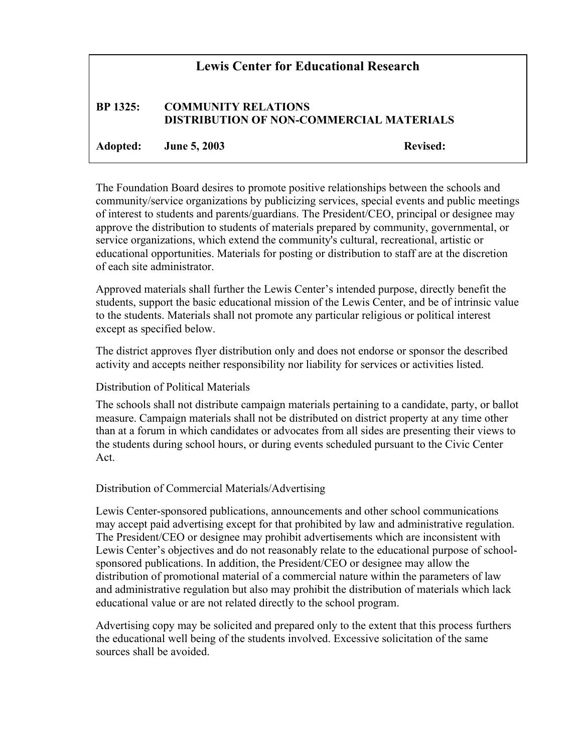## **Lewis Center for Educational Research**

## **BP 1325: COMMUNITY RELATIONS DISTRIBUTION OF NON-COMMERCIAL MATERIALS**

**Adopted: June 5, 2003 Revised:**

The Foundation Board desires to promote positive relationships between the schools and community/service organizations by publicizing services, special events and public meetings of interest to students and parents/guardians. The President/CEO, principal or designee may approve the distribution to students of materials prepared by community, governmental, or service organizations, which extend the community's cultural, recreational, artistic or educational opportunities. Materials for posting or distribution to staff are at the discretion of each site administrator.

Approved materials shall further the Lewis Center's intended purpose, directly benefit the students, support the basic educational mission of the Lewis Center, and be of intrinsic value to the students. Materials shall not promote any particular religious or political interest except as specified below.

The district approves flyer distribution only and does not endorse or sponsor the described activity and accepts neither responsibility nor liability for services or activities listed.

## Distribution of Political Materials

The schools shall not distribute campaign materials pertaining to a candidate, party, or ballot measure. Campaign materials shall not be distributed on district property at any time other than at a forum in which candidates or advocates from all sides are presenting their views to the students during school hours, or during events scheduled pursuant to the Civic Center Act.

## Distribution of Commercial Materials/Advertising

Lewis Center-sponsored publications, announcements and other school communications may accept paid advertising except for that prohibited by law and administrative regulation. The President/CEO or designee may prohibit advertisements which are inconsistent with Lewis Center's objectives and do not reasonably relate to the educational purpose of schoolsponsored publications. In addition, the President/CEO or designee may allow the distribution of promotional material of a commercial nature within the parameters of law and administrative regulation but also may prohibit the distribution of materials which lack educational value or are not related directly to the school program.

Advertising copy may be solicited and prepared only to the extent that this process furthers the educational well being of the students involved. Excessive solicitation of the same sources shall be avoided.